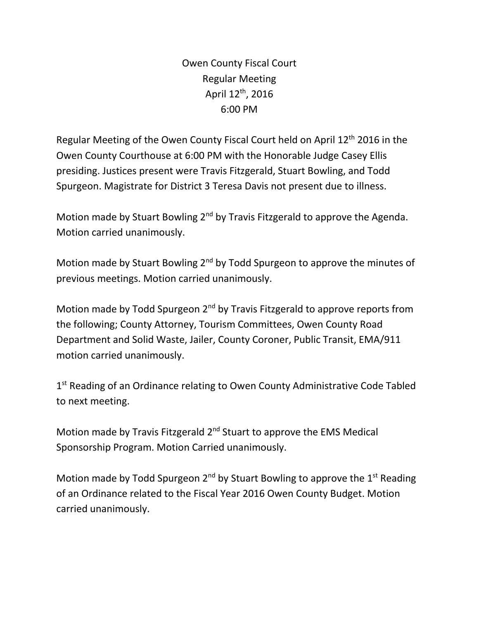Owen County Fiscal Court Regular Meeting April  $12^{th}$ , 2016 6:00 PM

Regular Meeting of the Owen County Fiscal Court held on April 12th 2016 in the Owen County Courthouse at 6:00 PM with the Honorable Judge Casey Ellis presiding. Justices present were Travis Fitzgerald, Stuart Bowling, and Todd Spurgeon. Magistrate for District 3 Teresa Davis not present due to illness.

Motion made by Stuart Bowling 2<sup>nd</sup> by Travis Fitzgerald to approve the Agenda. Motion carried unanimously.

Motion made by Stuart Bowling 2<sup>nd</sup> by Todd Spurgeon to approve the minutes of previous meetings. Motion carried unanimously.

Motion made by Todd Spurgeon 2<sup>nd</sup> by Travis Fitzgerald to approve reports from the following; County Attorney, Tourism Committees, Owen County Road Department and Solid Waste, Jailer, County Coroner, Public Transit, EMA/911 motion carried unanimously.

1<sup>st</sup> Reading of an Ordinance relating to Owen County Administrative Code Tabled to next meeting.

Motion made by Travis Fitzgerald 2<sup>nd</sup> Stuart to approve the EMS Medical Sponsorship Program. Motion Carried unanimously.

Motion made by Todd Spurgeon  $2^{nd}$  by Stuart Bowling to approve the  $1^{st}$  Reading of an Ordinance related to the Fiscal Year 2016 Owen County Budget. Motion carried unanimously.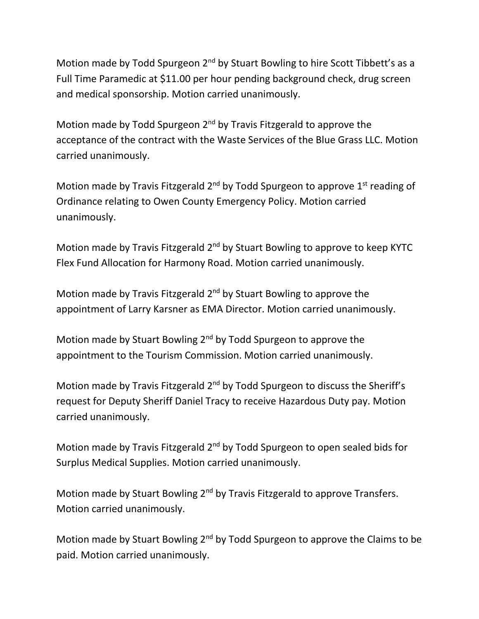Motion made by Todd Spurgeon 2<sup>nd</sup> by Stuart Bowling to hire Scott Tibbett's as a Full Time Paramedic at \$11.00 per hour pending background check, drug screen and medical sponsorship. Motion carried unanimously.

Motion made by Todd Spurgeon  $2<sup>nd</sup>$  by Travis Fitzgerald to approve the acceptance of the contract with the Waste Services of the Blue Grass LLC. Motion carried unanimously.

Motion made by Travis Fitzgerald  $2^{nd}$  by Todd Spurgeon to approve  $1^{st}$  reading of Ordinance relating to Owen County Emergency Policy. Motion carried unanimously.

Motion made by Travis Fitzgerald 2<sup>nd</sup> by Stuart Bowling to approve to keep KYTC Flex Fund Allocation for Harmony Road. Motion carried unanimously.

Motion made by Travis Fitzgerald 2<sup>nd</sup> by Stuart Bowling to approve the appointment of Larry Karsner as EMA Director. Motion carried unanimously.

Motion made by Stuart Bowling 2nd by Todd Spurgeon to approve the appointment to the Tourism Commission. Motion carried unanimously.

Motion made by Travis Fitzgerald 2<sup>nd</sup> by Todd Spurgeon to discuss the Sheriff's request for Deputy Sheriff Daniel Tracy to receive Hazardous Duty pay. Motion carried unanimously.

Motion made by Travis Fitzgerald 2<sup>nd</sup> by Todd Spurgeon to open sealed bids for Surplus Medical Supplies. Motion carried unanimously.

Motion made by Stuart Bowling 2<sup>nd</sup> by Travis Fitzgerald to approve Transfers. Motion carried unanimously.

Motion made by Stuart Bowling  $2^{nd}$  by Todd Spurgeon to approve the Claims to be paid. Motion carried unanimously.